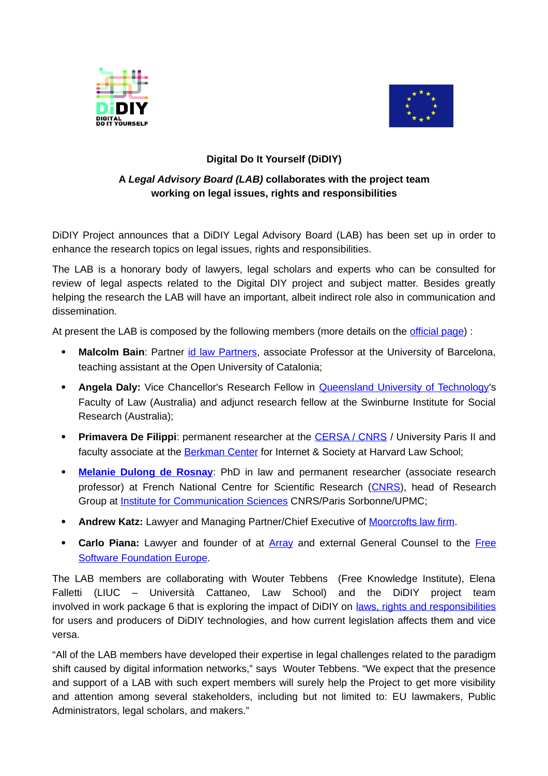



## **Digital Do It Yourself (DiDIY)**

## **A** *Legal Advisory Board (LAB)* **collaborates with the project team working on legal issues, rights and responsibilities**

DiDIY Project announces that a DiDIY Legal Advisory Board (LAB) has been set up in order to enhance the research topics on legal issues, rights and responsibilities.

The LAB is a honorary body of lawyers, legal scholars and experts who can be consulted for review of legal aspects related to the Digital DIY project and subject matter. Besides greatly helping the research the LAB will have an important, albeit indirect role also in communication and dissemination.

At present the LAB is composed by the following members (more details on the [official page\)](http://www.didiy.eu/legal-advisory-board) :

- Malcolm Bain: Partner [id law Partners,](http://www.id-lawpartners.com/en) associate Professor at the University of Barcelona, teaching assistant at the Open University of Catalonia;
- Angela Daly: Vice Chancellor's Research Fellow in **Queensland University of Technology's** Faculty of Law (Australia) and adjunct research fellow at the Swinburne Institute for Social Research (Australia);
- **Primavera De Filippi**: permanent researcher at the [CERSA / CNRS](http://cersa.cnrs.fr/de-filippi-primavera/) / University Paris II and faculty associate at the [Berkman Center](https://cyber.law.harvard.edu/people/pdefilippi) for Internet & Society at Harvard Law School;
- **[Melanie Dulong de Rosnay](http://www.iscc.cnrs.fr/spip.php?article1558)**: PhD in law and permanent researcher (associate research professor) at French National Centre for Scientific Research [\(CNRS\)](http://www.cnrs.fr/), head of Research Group at [Institute for Communication Sciences](http://www.iscc.cnrs.fr/spip.php?article1435) CNRS/Paris Sorbonne/UPMC;
- **Andrew Katz:** Lawyer and Managing Partner/Chief Executive of [Moorcrofts law firm.](https://www.moorcrofts.com/)
- **Carlo Piana:** Lawyer and founder of at **Array** and external General Counsel to the [Free](https://en.wikipedia.org/wiki/Free_Software_Foundation_Europe) [Software Foundation Europe.](https://en.wikipedia.org/wiki/Free_Software_Foundation_Europe)

The LAB members are collaborating with Wouter Tebbens (Free Knowledge Institute), Elena Falletti (LIUC – Università Cattaneo, Law School) and the DiDIY project team involved in work package 6 that is exploring the impact of DiDIY on <u>laws, rights and responsibilities</u> for users and producers of DiDIY technologies, and how current legislation affects them and vice versa.

"All of the LAB members have developed their expertise in legal challenges related to the paradigm shift caused by digital information networks," says Wouter Tebbens. "We expect that the presence and support of a LAB with such expert members will surely help the Project to get more visibility and attention among several stakeholders, including but not limited to: EU lawmakers, Public Administrators, legal scholars, and makers."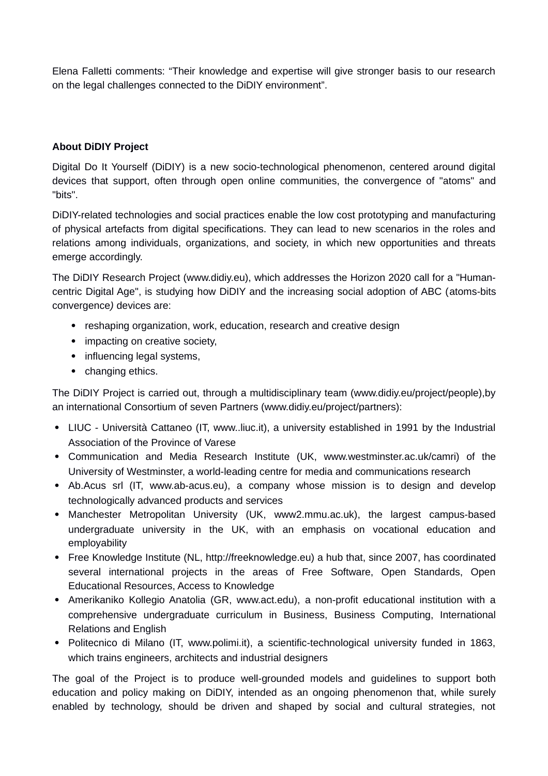Elena Falletti comments: "Their knowledge and expertise will give stronger basis to our research on the legal challenges connected to the DiDIY environment".

## **About DiDIY Project**

Digital Do It Yourself (DiDIY) is a new socio-technological phenomenon, centered around digital devices that support, often through open online communities, the convergence of "atoms" and "bits".

DiDIY-related technologies and social practices enable the low cost prototyping and manufacturing of physical artefacts from digital specifications. They can lead to new scenarios in the roles and relations among individuals, organizations, and society, in which new opportunities and threats emerge accordingly.

The DiDIY Research Project (www.didiy.eu), which addresses the Horizon 2020 call for a "Humancentric Digital Age", is studying how DiDIY and the increasing social adoption of ABC (atoms-bits convergence*)* devices are:

- reshaping organization, work, education, research and creative design
- impacting on creative society,
- influencing legal systems,
- changing ethics.

The DiDIY Project is carried out, through a multidisciplinary team (www.didiy.eu/project/people),by an international Consortium of seven Partners (www.didiy.eu/project/partners):

- LIUC Università Cattaneo (IT, www..liuc.it), a university established in 1991 by the Industrial Association of the Province of Varese
- Communication and Media Research Institute (UK, www.westminster.ac.uk/camri) of the University of Westminster, a world-leading centre for media and communications research
- Ab.Acus srl (IT, www.ab-acus.eu), a company whose mission is to design and develop technologically advanced products and services
- Manchester Metropolitan University (UK, www2.mmu.ac.uk), the largest campus-based undergraduate university in the UK, with an emphasis on vocational education and employability
- Free Knowledge Institute (NL, http://freeknowledge.eu) a hub that, since 2007, has coordinated several international projects in the areas of Free Software, Open Standards, Open Educational Resources, Access to Knowledge
- Amerikaniko Kollegio Anatolia (GR, www.act.edu), a non-profit educational institution with a comprehensive undergraduate curriculum in Business, Business Computing, International Relations and English
- Politecnico di Milano (IT, www.polimi.it), a scientific-technological university funded in 1863, which trains engineers, architects and industrial designers

The goal of the Project is to produce well-grounded models and guidelines to support both education and policy making on DiDIY, intended as an ongoing phenomenon that, while surely enabled by technology, should be driven and shaped by social and cultural strategies, not